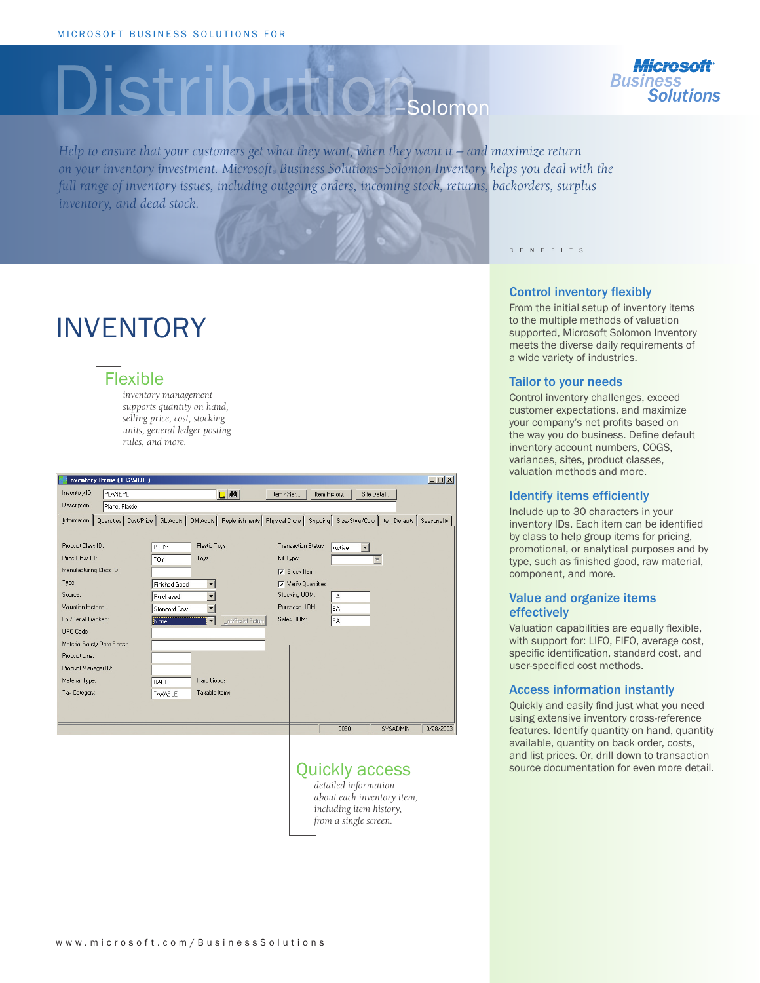# Distribution – Solomon



*Help to ensure that your customers get what they want, when they want it — and maximize return on your inventory investment. Microsoft® Business Solutions–Solomon Inventory helps you deal with the full range of inventory issues, including outgoing orders, incoming stock, returns, backorders, surplus inventory, and dead stock.* 

## INVENTORY

#### Flexible

*inventory management supports quantity on hand, selling price, cost, stocking units, general ledger posting rules, and more.*

| $-12X$<br>Inventory Items (10.250.00) |                                                                                                                                             |                                      |                        |  |
|---------------------------------------|---------------------------------------------------------------------------------------------------------------------------------------------|--------------------------------------|------------------------|--|
| Inventory ID:<br><b>PLANEPL</b>       | $\Box$ $\delta$ $\delta$<br>Item XRef                                                                                                       | Item History                         | Site Detail            |  |
| Description:<br>Plane, Plastic        |                                                                                                                                             |                                      |                        |  |
| Information                           | Quantities   Cost/Price   GL Accts   OM Accts   Replenishments   Physical Cycle   Shipping   Size/Style/Color   Item Defaults   Seasonality |                                      |                        |  |
|                                       |                                                                                                                                             |                                      |                        |  |
| Product Class ID:                     | Plastic Toys<br>PTOY                                                                                                                        | <b>Transaction Status:</b><br>Active |                        |  |
| Price Class ID:                       | Toys<br>Kit Type:<br>TOY                                                                                                                    |                                      |                        |  |
| Manufacturing Class ID:               |                                                                                                                                             | $\nabla$ Stock Item                  |                        |  |
| Type:                                 | <b>Finished Good</b>                                                                                                                        | $\nabla$ Verify Quantities           |                        |  |
| Source:                               | Purchased                                                                                                                                   | Stocking UOM:<br>EA                  |                        |  |
| Valuation Method:                     | <b>Standard Cost</b>                                                                                                                        | Purchase UOM:<br>EA                  |                        |  |
| Lot/Serial Tracked:                   | Lot/Serial Setup<br>None<br>▼                                                                                                               | Sales UOM:<br>EA                     |                        |  |
| <b>UPC Code:</b>                      |                                                                                                                                             |                                      |                        |  |
| Material Safety Data Sheet:           |                                                                                                                                             |                                      |                        |  |
| Product Line:                         |                                                                                                                                             |                                      |                        |  |
| Product Manager ID:                   |                                                                                                                                             |                                      |                        |  |
| Material Type:                        | Hard Goods<br><b>HARD</b>                                                                                                                   |                                      |                        |  |
| Tax Category:                         | Taxable Items<br>TAXABLE                                                                                                                    |                                      |                        |  |
|                                       |                                                                                                                                             |                                      |                        |  |
|                                       |                                                                                                                                             |                                      |                        |  |
|                                       |                                                                                                                                             | 0060                                 | 10/28/2003<br>SYSADMIN |  |

*detailed information about each inventory item, including item history, from a single screen.*

#### B E N E F I T S

#### Control inventory flexibly

From the initial setup of inventory items to the multiple methods of valuation supported, Microsoft Solomon Inventory meets the diverse daily requirements of a wide variety of industries.

#### Tailor to your needs

Control inventory challenges, exceed customer expectations, and maximize your company's net profits based on the way you do business. Define default inventory account numbers, COGS, variances, sites, product classes, valuation methods and more.

#### Identify items efficiently

Include up to 30 characters in your inventory IDs. Each item can be identified by class to help group items for pricing, promotional, or analytical purposes and by type, such as finished good, raw material, component, and more.

#### Value and organize items effectively

Valuation capabilities are equally flexible, with support for: LIFO, FIFO, average cost, specific identification, standard cost, and user-specified cost methods.

#### Access information instantly

Quickly and easily find just what you need using extensive inventory cross-reference features. Identify quantity on hand, quantity available, quantity on back order, costs, and list prices. Or, drill down to transaction Quickly access source documentation for even more detail.